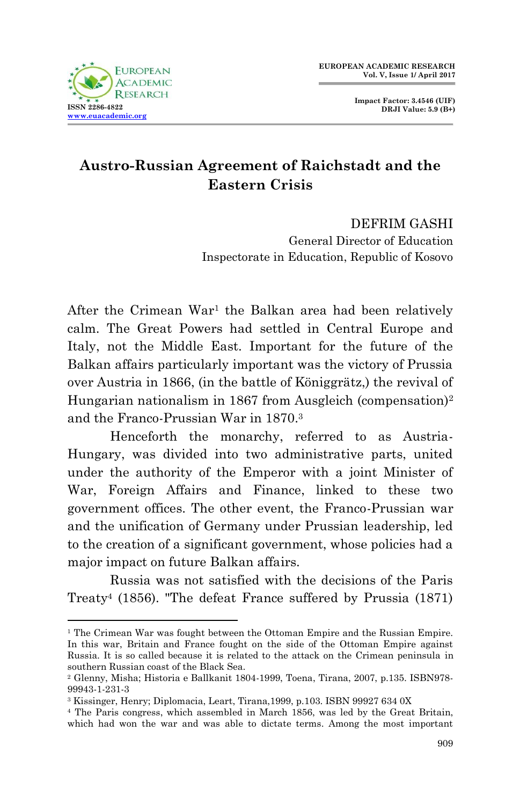

**Impact Factor: 3.4546 (UIF) DRJI Value: 5.9 (B+)**

## **Austro-Russian Agreement of Raichstadt and the Eastern Crisis**

DEFRIM GASHI General Director of Education Inspectorate in Education, Republic of Kosovo

After the Crimean War<sup>1</sup> the Balkan area had been relatively calm. The Great Powers had settled in Central Europe and Italy, not the Middle East. Important for the future of the Balkan affairs particularly important was the victory of Prussia over Austria in 1866, (in the battle of Königgrätz,) the revival of Hungarian nationalism in 1867 from Ausgleich (compensation)<sup>2</sup> and the Franco-Prussian War in 1870.<sup>3</sup>

Henceforth the monarchy, referred to as Austria-Hungary, was divided into two administrative parts, united under the authority of the Emperor with a joint Minister of War, Foreign Affairs and Finance, linked to these two government offices. The other event, the Franco-Prussian war and the unification of Germany under Prussian leadership, led to the creation of a significant government, whose policies had a major impact on future Balkan affairs.

Russia was not satisfied with the decisions of the Paris Treaty<sup>4</sup> (1856). "The defeat France suffered by Prussia (1871)

<sup>1</sup> <sup>1</sup> The Crimean War was fought between the Ottoman Empire and the Russian Empire. In this war, Britain and France fought on the side of the Ottoman Empire against Russia. It is so called because it is related to the attack on the Crimean peninsula in southern Russian coast of the Black Sea.

<sup>2</sup> Glenny, Misha; Historia e Ballkanit 1804-1999, Toena, Tirana, 2007, p.135. ISBN978- 99943-1-231-3

<sup>3</sup> Kissinger, Henry; Diplomacia, Leart, Tirana,1999, p.103. ISBN 99927 634 0X

<sup>4</sup> The Paris congress, which assembled in March 1856, was led by the Great Britain, which had won the war and was able to dictate terms. Among the most important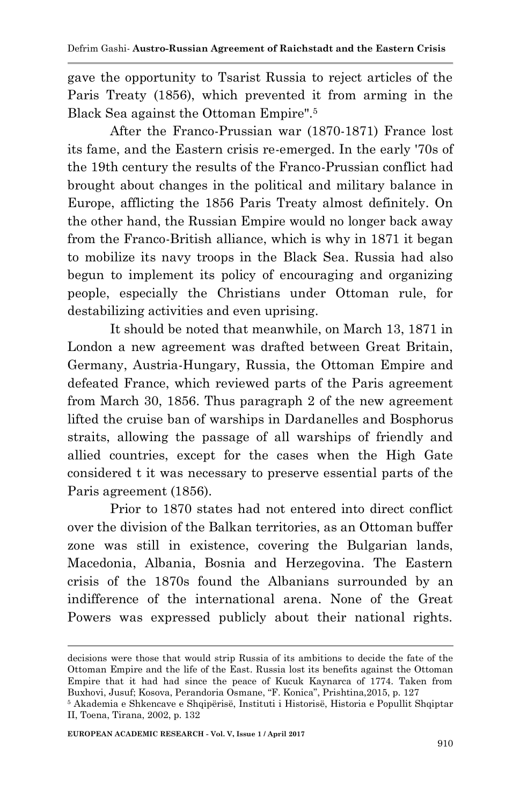gave the opportunity to Tsarist Russia to reject articles of the Paris Treaty (1856), which prevented it from arming in the Black Sea against the Ottoman Empire".<sup>5</sup>

After the Franco-Prussian war (1870-1871) France lost its fame, and the Eastern crisis re-emerged. In the early '70s of the 19th century the results of the Franco-Prussian conflict had brought about changes in the political and military balance in Europe, afflicting the 1856 Paris Treaty almost definitely. On the other hand, the Russian Empire would no longer back away from the Franco-British alliance, which is why in 1871 it began to mobilize its navy troops in the Black Sea. Russia had also begun to implement its policy of encouraging and organizing people, especially the Christians under Ottoman rule, for destabilizing activities and even uprising.

It should be noted that meanwhile, on March 13, 1871 in London a new agreement was drafted between Great Britain, Germany, Austria-Hungary, Russia, the Ottoman Empire and defeated France, which reviewed parts of the Paris agreement from March 30, 1856. Thus paragraph 2 of the new agreement lifted the cruise ban of warships in Dardanelles and Bosphorus straits, allowing the passage of all warships of friendly and allied countries, except for the cases when the High Gate considered t it was necessary to preserve essential parts of the Paris agreement (1856).

Prior to 1870 states had not entered into direct conflict over the division of the Balkan territories, as an Ottoman buffer zone was still in existence, covering the Bulgarian lands, Macedonia, Albania, Bosnia and Herzegovina. The Eastern crisis of the 1870s found the Albanians surrounded by an indifference of the international arena. None of the Great Powers was expressed publicly about their national rights.

decisions were those that would strip Russia of its ambitions to decide the fate of the Ottoman Empire and the life of the East. Russia lost its benefits against the Ottoman Empire that it had had since the peace of Kucuk Kaynarca of 1774. Taken from Buxhovi, Jusuf; Kosova, Perandoria Osmane, "F. Konica", Prishtina,2015, p. 127

<sup>5</sup> Akademia e Shkencave e Shqipërisë, Instituti i Historisë, Historia e Popullit Shqiptar II, Toena, Tirana, 2002, p. 132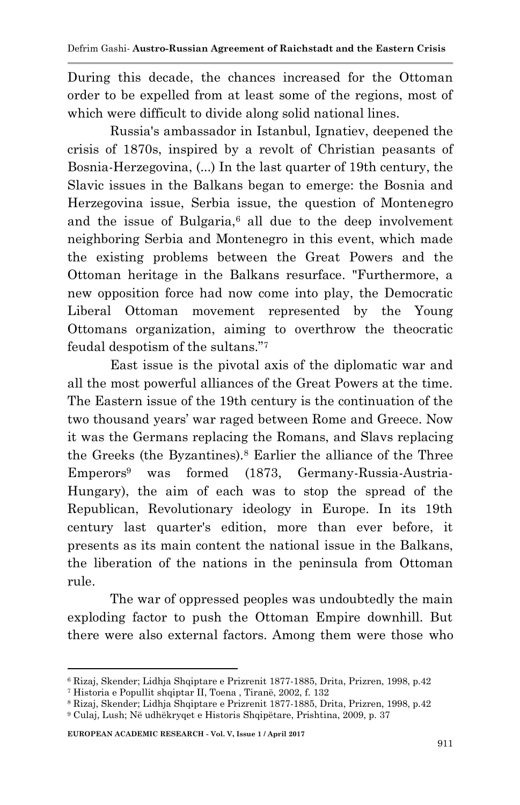During this decade, the chances increased for the Ottoman order to be expelled from at least some of the regions, most of which were difficult to divide along solid national lines.

Russia's ambassador in Istanbul, Ignatiev, deepened the crisis of 1870s, inspired by a revolt of Christian peasants of Bosnia-Herzegovina, (...) In the last quarter of 19th century, the Slavic issues in the Balkans began to emerge: the Bosnia and Herzegovina issue, Serbia issue, the question of Montenegro and the issue of Bulgaria. $6$  all due to the deep involvement neighboring Serbia and Montenegro in this event, which made the existing problems between the Great Powers and the Ottoman heritage in the Balkans resurface. "Furthermore, a new opposition force had now come into play, the Democratic Liberal Ottoman movement represented by the Young Ottomans organization, aiming to overthrow the theocratic feudal despotism of the sultans."<sup>7</sup>

East issue is the pivotal axis of the diplomatic war and all the most powerful alliances of the Great Powers at the time. The Eastern issue of the 19th century is the continuation of the two thousand years' war raged between Rome and Greece. Now it was the Germans replacing the Romans, and Slavs replacing the Greeks (the Byzantines).<sup>8</sup> Earlier the alliance of the Three Emperors<sup>9</sup> was formed (1873, Germany-Russia-Austria-Hungary), the aim of each was to stop the spread of the Republican, Revolutionary ideology in Europe. In its 19th century last quarter's edition, more than ever before, it presents as its main content the national issue in the Balkans, the liberation of the nations in the peninsula from Ottoman rule.

The war of oppressed peoples was undoubtedly the main exploding factor to push the Ottoman Empire downhill. But there were also external factors. Among them were those who

<sup>6</sup> Rizaj, Skender; Lidhja Shqiptare e Prizrenit 1877-1885, Drita, Prizren, 1998, p.42

<sup>7</sup> Historia e Popullit shqiptar II, Toena , Tiranë, 2002, f. 132

<sup>8</sup> Rizaj, Skender; Lidhja Shqiptare e Prizrenit 1877-1885, Drita, Prizren, 1998, p.42

<sup>9</sup> Culaj, Lush; Në udhëkryqet e Historis Shqipëtare, Prishtina, 2009, p. 37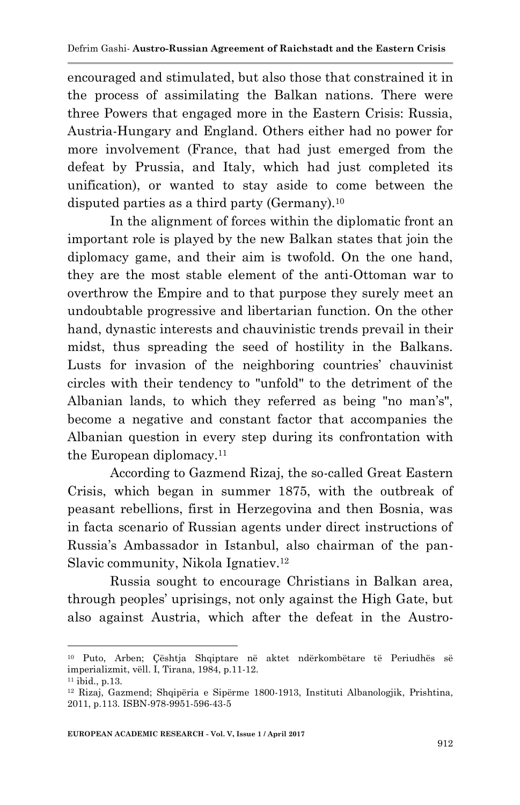encouraged and stimulated, but also those that constrained it in the process of assimilating the Balkan nations. There were three Powers that engaged more in the Eastern Crisis: Russia, Austria-Hungary and England. Others either had no power for more involvement (France, that had just emerged from the defeat by Prussia, and Italy, which had just completed its unification), or wanted to stay aside to come between the disputed parties as a third party (Germany).<sup>10</sup>

In the alignment of forces within the diplomatic front an important role is played by the new Balkan states that join the diplomacy game, and their aim is twofold. On the one hand, they are the most stable element of the anti-Ottoman war to overthrow the Empire and to that purpose they surely meet an undoubtable progressive and libertarian function. On the other hand, dynastic interests and chauvinistic trends prevail in their midst, thus spreading the seed of hostility in the Balkans. Lusts for invasion of the neighboring countries' chauvinist circles with their tendency to "unfold" to the detriment of the Albanian lands, to which they referred as being "no man's", become a negative and constant factor that accompanies the Albanian question in every step during its confrontation with the European diplomacy.<sup>11</sup>

According to Gazmend Rizaj, the so-called Great Eastern Crisis, which began in summer 1875, with the outbreak of peasant rebellions, first in Herzegovina and then Bosnia, was in facta scenario of Russian agents under direct instructions of Russia's Ambassador in Istanbul, also chairman of the pan-Slavic community, Nikola Ignatiev.<sup>12</sup>

Russia sought to encourage Christians in Balkan area, through peoples' uprisings, not only against the High Gate, but also against Austria, which after the defeat in the Austro-

<sup>1</sup> <sup>10</sup> Puto, Arben; Çështja Shqiptare në aktet ndërkombëtare të Periudhës së imperializmit, vëll. I, Tirana, 1984, p.11-12.

 $11$  ibid., p.13.

<sup>12</sup> Rizaj, Gazmend; Shqipëria e Sipërme 1800-1913, Instituti Albanologjik, Prishtina, 2011, p.113. ISBN-978-9951-596-43-5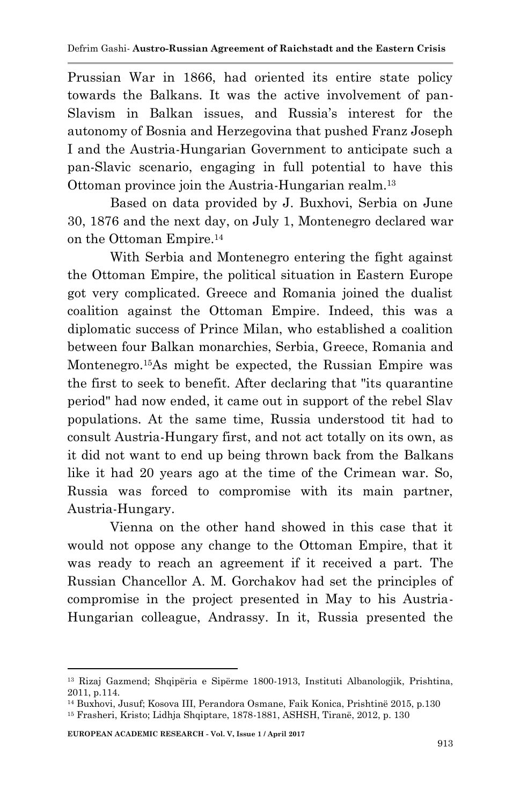Prussian War in 1866, had oriented its entire state policy towards the Balkans. It was the active involvement of pan-Slavism in Balkan issues, and Russia's interest for the autonomy of Bosnia and Herzegovina that pushed Franz Joseph I and the Austria-Hungarian Government to anticipate such a pan-Slavic scenario, engaging in full potential to have this Ottoman province join the Austria-Hungarian realm.<sup>13</sup>

Based on data provided by J. Buxhovi, Serbia on June 30, 1876 and the next day, on July 1, Montenegro declared war on the Ottoman Empire.<sup>14</sup>

With Serbia and Montenegro entering the fight against the Ottoman Empire, the political situation in Eastern Europe got very complicated. Greece and Romania joined the dualist coalition against the Ottoman Empire. Indeed, this was a diplomatic success of Prince Milan, who established a coalition between four Balkan monarchies, Serbia, Greece, Romania and Montenegro.15As might be expected, the Russian Empire was the first to seek to benefit. After declaring that "its quarantine period" had now ended, it came out in support of the rebel Slav populations. At the same time, Russia understood tit had to consult Austria-Hungary first, and not act totally on its own, as it did not want to end up being thrown back from the Balkans like it had 20 years ago at the time of the Crimean war. So, Russia was forced to compromise with its main partner, Austria-Hungary.

Vienna on the other hand showed in this case that it would not oppose any change to the Ottoman Empire, that it was ready to reach an agreement if it received a part. The Russian Chancellor A. M. Gorchakov had set the principles of compromise in the project presented in May to his Austria-Hungarian colleague, Andrassy. In it, Russia presented the

**EUROPEAN ACADEMIC RESEARCH - Vol. V, Issue 1 / April 2017**

<sup>13</sup> Rizaj Gazmend; Shqipëria e Sipërme 1800-1913, Instituti Albanologjik, Prishtina, 2011, p.114.

<sup>14</sup> Buxhovi, Jusuf; Kosova III, Perandora Osmane, Faik Konica, Prishtinë 2015, p.130

<sup>15</sup> Frasheri, Kristo; Lidhja Shqiptare, 1878-1881, ASHSH, Tiranë, 2012, p. 130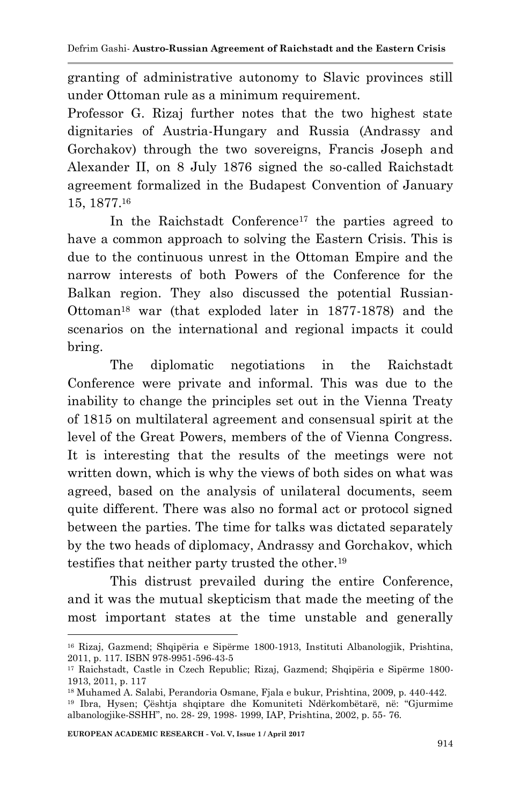granting of administrative autonomy to Slavic provinces still under Ottoman rule as a minimum requirement.

Professor G. Rizaj further notes that the two highest state dignitaries of Austria-Hungary and Russia (Andrassy and Gorchakov) through the two sovereigns, Francis Joseph and Alexander II, on 8 July 1876 signed the so-called Raichstadt agreement formalized in the Budapest Convention of January 15, 1877.<sup>16</sup>

In the Raichstadt Conference<sup>17</sup> the parties agreed to have a common approach to solving the Eastern Crisis. This is due to the continuous unrest in the Ottoman Empire and the narrow interests of both Powers of the Conference for the Balkan region. They also discussed the potential Russian-Ottoman<sup>18</sup> war (that exploded later in 1877-1878) and the scenarios on the international and regional impacts it could bring.

The diplomatic negotiations in the Raichstadt Conference were private and informal. This was due to the inability to change the principles set out in the Vienna Treaty of 1815 on multilateral agreement and consensual spirit at the level of the Great Powers, members of the of Vienna Congress. It is interesting that the results of the meetings were not written down, which is why the views of both sides on what was agreed, based on the analysis of unilateral documents, seem quite different. There was also no formal act or protocol signed between the parties. The time for talks was dictated separately by the two heads of diplomacy, Andrassy and Gorchakov, which testifies that neither party trusted the other.<sup>19</sup>

This distrust prevailed during the entire Conference, and it was the mutual skepticism that made the meeting of the most important states at the time unstable and generally

<sup>1</sup> <sup>16</sup> Rizaj, Gazmend; Shqipëria e Sipërme 1800-1913, Instituti Albanologjik, Prishtina, 2011, p. 117. ISBN 978-9951-596-43-5

<sup>17</sup> Raichstadt, Castle in Czech Republic; Rizaj, Gazmend; Shqipëria e Sipërme 1800- 1913, 2011, p. 117

<sup>18</sup> Muhamed A. Salabi, Perandoria Osmane, Fjala e bukur, Prishtina, 2009, p. 440-442.

<sup>19</sup> Ibra, Hysen; Çështja shqiptare dhe Komuniteti Ndërkombëtarë, në: "Gjurmime albanologjike-SSHH", no. 28- 29, 1998- 1999, IAP, Prishtina, 2002, p. 55- 76.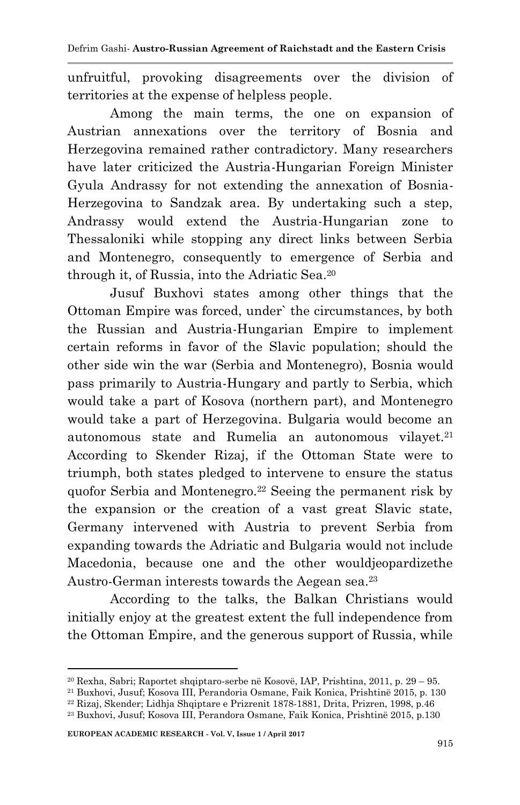unfruitful, provoking disagreements over the division of territories at the expense of helpless people.

Among the main terms, the one on expansion of Austrian annexations over the territory of Bosnia and Herzegovina remained rather contradictory. Many researchers have later criticized the Austria-Hungarian Foreign Minister Gyula Andrassy for not extending the annexation of Bosnia-Herzegovina to Sandzak area. By undertaking such a step, Andrassy would extend the Austria-Hungarian zone to Thessaloniki while stopping any direct links between Serbia and Montenegro, consequently to emergence of Serbia and through it, of Russia, into the Adriatic Sea.<sup>20</sup>

Jusuf Buxhovi states among other things that the Ottoman Empire was forced, under` the circumstances, by both the Russian and Austria-Hungarian Empire to implement certain reforms in favor of the Slavic population; should the other side win the war (Serbia and Montenegro), Bosnia would pass primarily to Austria-Hungary and partly to Serbia, which would take a part of Kosova (northern part), and Montenegro would take a part of Herzegovina. Bulgaria would become an autonomous state and Rumelia an autonomous vilayet.<sup>21</sup> According to Skender Rizaj, if the Ottoman State were to triumph, both states pledged to intervene to ensure the status quofor Serbia and Montenegro.<sup>22</sup> Seeing the permanent risk by the expansion or the creation of a vast great Slavic state, Germany intervened with Austria to prevent Serbia from expanding towards the Adriatic and Bulgaria would not include Macedonia, because one and the other wouldjeopardizethe Austro-German interests towards the Aegean sea.<sup>23</sup>

According to the talks, the Balkan Christians would initially enjoy at the greatest extent the full independence from the Ottoman Empire, and the generous support of Russia, while

<sup>21</sup> Buxhovi, Jusuf; Kosova III, Perandoria Osmane, Faik Konica, Prishtinë 2015, p. 130

 $20$  Rexha, Sabri; Raportet shqiptaro-serbe në Kosovë, IAP, Prishtina, 2011, p.  $29 - 95$ .

<sup>22</sup> Rizaj, Skender; Lidhja Shqiptare e Prizrenit 1878-1881, Drita, Prizren, 1998, p.46

<sup>23</sup> Buxhovi, Jusuf; Kosova III, Perandora Osmane, Faik Konica, Prishtinë 2015, p.130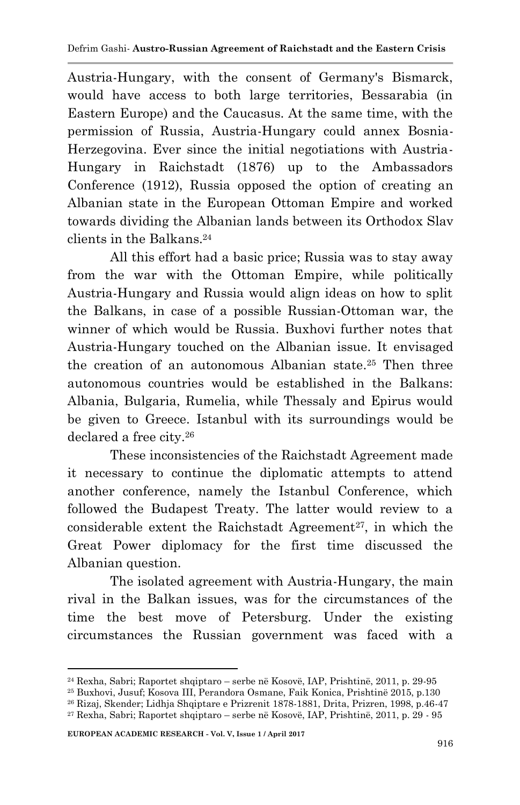Austria-Hungary, with the consent of Germany's Bismarck, would have access to both large territories, Bessarabia (in Eastern Europe) and the Caucasus. At the same time, with the permission of Russia, Austria-Hungary could annex Bosnia-Herzegovina. Ever since the initial negotiations with Austria-Hungary in Raichstadt (1876) up to the Ambassadors Conference (1912), Russia opposed the option of creating an Albanian state in the European Ottoman Empire and worked towards dividing the Albanian lands between its Orthodox Slav clients in the Balkans.<sup>24</sup>

All this effort had a basic price; Russia was to stay away from the war with the Ottoman Empire, while politically Austria-Hungary and Russia would align ideas on how to split the Balkans, in case of a possible Russian-Ottoman war, the winner of which would be Russia. Buxhovi further notes that Austria-Hungary touched on the Albanian issue. It envisaged the creation of an autonomous Albanian state.<sup>25</sup> Then three autonomous countries would be established in the Balkans: Albania, Bulgaria, Rumelia, while Thessaly and Epirus would be given to Greece. Istanbul with its surroundings would be declared a free city.<sup>26</sup>

These inconsistencies of the Raichstadt Agreement made it necessary to continue the diplomatic attempts to attend another conference, namely the Istanbul Conference, which followed the Budapest Treaty. The latter would review to a considerable extent the Raichstadt Agreement<sup>27</sup>, in which the Great Power diplomacy for the first time discussed the Albanian question.

The isolated agreement with Austria-Hungary, the main rival in the Balkan issues, was for the circumstances of the time the best move of Petersburg. Under the existing circumstances the Russian government was faced with a

<sup>24</sup> Rexha, Sabri; Raportet shqiptaro – serbe në Kosovë, IAP, Prishtinë, 2011, p. 29-95

<sup>25</sup> Buxhovi, Jusuf; Kosova III, Perandora Osmane, Faik Konica, Prishtinë 2015, p.130

<sup>26</sup> Rizaj, Skender; Lidhja Shqiptare e Prizrenit 1878-1881, Drita, Prizren, 1998, p.46-47

<sup>27</sup> Rexha, Sabri; Raportet shqiptaro – serbe në Kosovë, IAP, Prishtinë, 2011, p. 29 - 95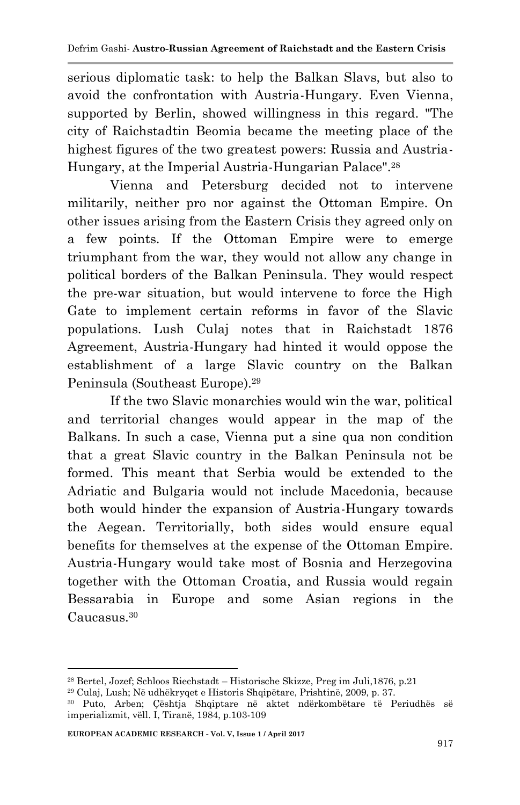serious diplomatic task: to help the Balkan Slavs, but also to avoid the confrontation with Austria-Hungary. Even Vienna, supported by Berlin, showed willingness in this regard. "The city of Raichstadtin Beomia became the meeting place of the highest figures of the two greatest powers: Russia and Austria-Hungary, at the Imperial Austria-Hungarian Palace".<sup>28</sup>

Vienna and Petersburg decided not to intervene militarily, neither pro nor against the Ottoman Empire. On other issues arising from the Eastern Crisis they agreed only on a few points. If the Ottoman Empire were to emerge triumphant from the war, they would not allow any change in political borders of the Balkan Peninsula. They would respect the pre-war situation, but would intervene to force the High Gate to implement certain reforms in favor of the Slavic populations. Lush Culaj notes that in Raichstadt 1876 Agreement, Austria-Hungary had hinted it would oppose the establishment of a large Slavic country on the Balkan Peninsula (Southeast Europe).<sup>29</sup>

If the two Slavic monarchies would win the war, political and territorial changes would appear in the map of the Balkans. In such a case, Vienna put a sine qua non condition that a great Slavic country in the Balkan Peninsula not be formed. This meant that Serbia would be extended to the Adriatic and Bulgaria would not include Macedonia, because both would hinder the expansion of Austria-Hungary towards the Aegean. Territorially, both sides would ensure equal benefits for themselves at the expense of the Ottoman Empire. Austria-Hungary would take most of Bosnia and Herzegovina together with the Ottoman Croatia, and Russia would regain Bessarabia in Europe and some Asian regions in the Caucasus.<sup>30</sup>

<sup>28</sup> Bertel, Jozef; Schloos Riechstadt – Historische Skizze, Preg im Juli,1876, p.21

<sup>29</sup> Culaj, Lush; Në udhëkryqet e Historis Shqipëtare, Prishtinë, 2009, p. 37.

<sup>30</sup> Puto, Arben; Çështja Shqiptare në aktet ndërkombëtare të Periudhës së imperializmit, vëll. I, Tiranë, 1984, p.103-109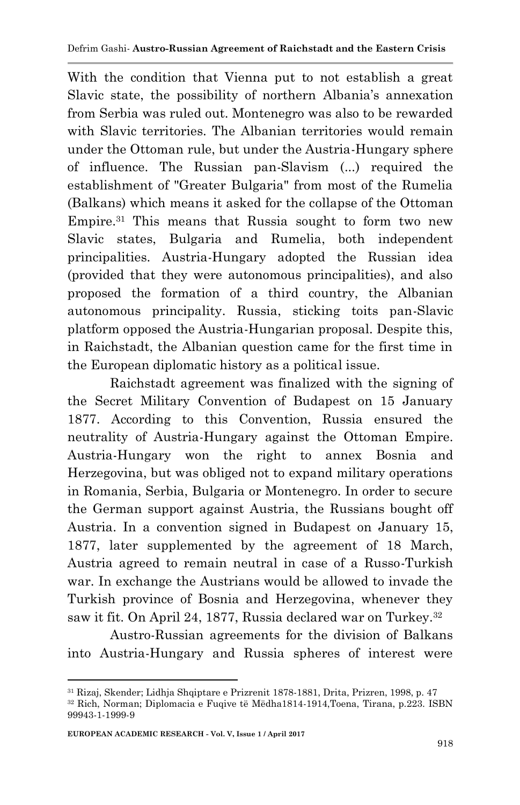With the condition that Vienna put to not establish a great Slavic state, the possibility of northern Albania's annexation from Serbia was ruled out. Montenegro was also to be rewarded with Slavic territories. The Albanian territories would remain under the Ottoman rule, but under the Austria-Hungary sphere of influence. The Russian pan-Slavism (...) required the establishment of "Greater Bulgaria" from most of the Rumelia (Balkans) which means it asked for the collapse of the Ottoman Empire.<sup>31</sup> This means that Russia sought to form two new Slavic states, Bulgaria and Rumelia, both independent principalities. Austria-Hungary adopted the Russian idea (provided that they were autonomous principalities), and also proposed the formation of a third country, the Albanian autonomous principality. Russia, sticking toits pan-Slavic platform opposed the Austria-Hungarian proposal. Despite this, in Raichstadt, the Albanian question came for the first time in the European diplomatic history as a political issue.

Raichstadt agreement was finalized with the signing of the Secret Military Convention of Budapest on 15 January 1877. According to this Convention, Russia ensured the neutrality of Austria-Hungary against the Ottoman Empire. Austria-Hungary won the right to annex Bosnia and Herzegovina, but was obliged not to expand military operations in Romania, Serbia, Bulgaria or Montenegro. In order to secure the German support against Austria, the Russians bought off Austria. In a convention signed in Budapest on January 15, 1877, later supplemented by the agreement of 18 March, Austria agreed to remain neutral in case of a Russo-Turkish war. In exchange the Austrians would be allowed to invade the Turkish province of Bosnia and Herzegovina, whenever they saw it fit. On April 24, 1877, Russia declared war on Turkey.<sup>32</sup>

Austro-Russian agreements for the division of Balkans into Austria-Hungary and Russia spheres of interest were

<sup>1</sup> <sup>31</sup> Rizaj, Skender; Lidhja Shqiptare e Prizrenit 1878-1881, Drita, Prizren, 1998, p. 47

<sup>32</sup> Rich, Norman; Diplomacia e Fuqive të Mëdha1814-1914,Toena, Tirana, p.223. ISBN 99943-1-1999-9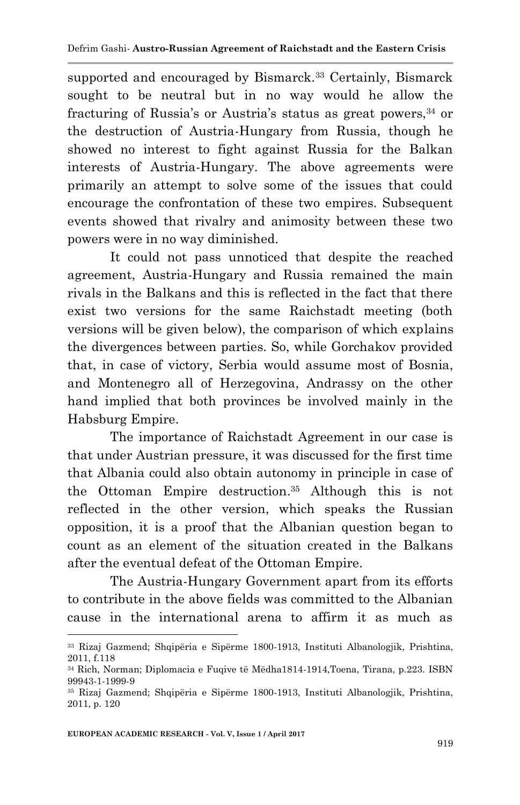supported and encouraged by Bismarck.<sup>33</sup> Certainly, Bismarck sought to be neutral but in no way would he allow the fracturing of Russia's or Austria's status as great powers, 34 or the destruction of Austria-Hungary from Russia, though he showed no interest to fight against Russia for the Balkan interests of Austria-Hungary. The above agreements were primarily an attempt to solve some of the issues that could encourage the confrontation of these two empires. Subsequent events showed that rivalry and animosity between these two powers were in no way diminished.

It could not pass unnoticed that despite the reached agreement, Austria-Hungary and Russia remained the main rivals in the Balkans and this is reflected in the fact that there exist two versions for the same Raichstadt meeting (both versions will be given below), the comparison of which explains the divergences between parties. So, while Gorchakov provided that, in case of victory, Serbia would assume most of Bosnia, and Montenegro all of Herzegovina, Andrassy on the other hand implied that both provinces be involved mainly in the Habsburg Empire.

The importance of Raichstadt Agreement in our case is that under Austrian pressure, it was discussed for the first time that Albania could also obtain autonomy in principle in case of the Ottoman Empire destruction. <sup>35</sup> Although this is not reflected in the other version, which speaks the Russian opposition, it is a proof that the Albanian question began to count as an element of the situation created in the Balkans after the eventual defeat of the Ottoman Empire.

The Austria-Hungary Government apart from its efforts to contribute in the above fields was committed to the Albanian cause in the international arena to affirm it as much as

<sup>33</sup> Rizaj Gazmend; Shqipëria e Sipërme 1800-1913, Instituti Albanologjik, Prishtina, 2011, f.118

<sup>34</sup> Rich, Norman; Diplomacia e Fuqive të Mëdha1814-1914,Toena, Tirana, p.223. ISBN 99943-1-1999-9

<sup>35</sup> Rizaj Gazmend; Shqipëria e Sipërme 1800-1913, Instituti Albanologjik, Prishtina, 2011, p. 120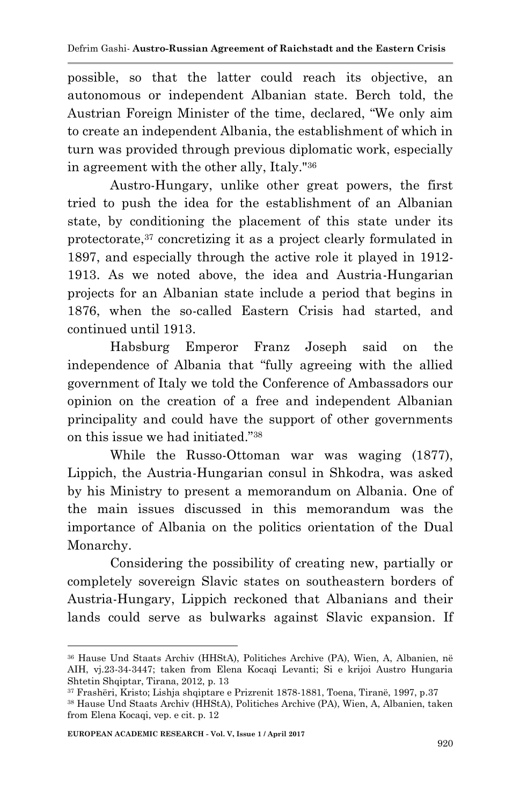possible, so that the latter could reach its objective, an autonomous or independent Albanian state. Berch told, the Austrian Foreign Minister of the time, declared, "We only aim to create an independent Albania, the establishment of which in turn was provided through previous diplomatic work, especially in agreement with the other ally, Italy."<sup>36</sup>

Austro-Hungary, unlike other great powers, the first tried to push the idea for the establishment of an Albanian state, by conditioning the placement of this state under its protectorate,<sup>37</sup> concretizing it as a project clearly formulated in 1897, and especially through the active role it played in 1912- 1913. As we noted above, the idea and Austria-Hungarian projects for an Albanian state include a period that begins in 1876, when the so-called Eastern Crisis had started, and continued until 1913.

Habsburg Emperor Franz Joseph said on the independence of Albania that "fully agreeing with the allied government of Italy we told the Conference of Ambassadors our opinion on the creation of a free and independent Albanian principality and could have the support of other governments on this issue we had initiated."<sup>38</sup>

While the Russo-Ottoman war was waging (1877), Lippich, the Austria-Hungarian consul in Shkodra, was asked by his Ministry to present a memorandum on Albania. One of the main issues discussed in this memorandum was the importance of Albania on the politics orientation of the Dual Monarchy.

Considering the possibility of creating new, partially or completely sovereign Slavic states on southeastern borders of Austria-Hungary, Lippich reckoned that Albanians and their lands could serve as bulwarks against Slavic expansion. If

<sup>36</sup> Hause Und Staats Archiv (HHStA), Politiches Archive (PA), Wien, A, Albanien, në AIH, vj.23-34-3447; taken from Elena Kocaqi Levanti; Si e krijoi Austro Hungaria Shtetin Shqiptar, Tirana, 2012, p. 13

<sup>37</sup> Frashëri, Kristo; Lishja shqiptare e Prizrenit 1878-1881, Toena, Tiranë, 1997, p.37

<sup>38</sup> Hause Und Staats Archiv (HHStA), Politiches Archive (PA), Wien, A, Albanien, taken from Elena Kocaqi, vep. e cit. p. 12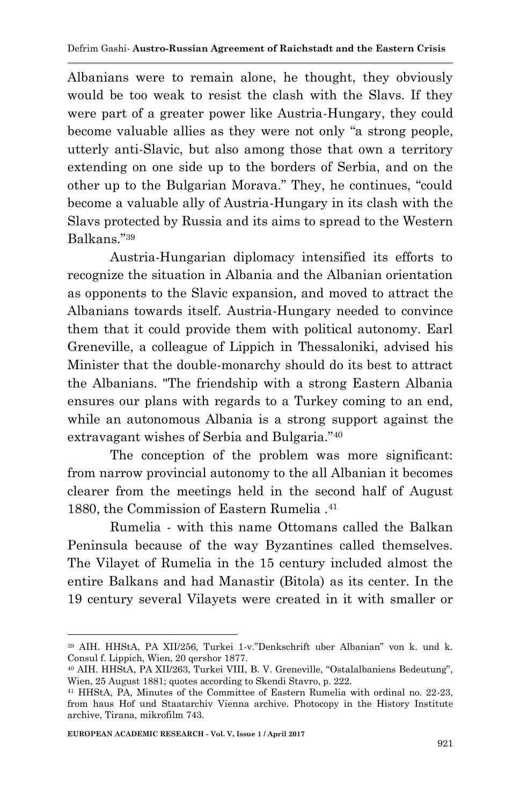Albanians were to remain alone, he thought, they obviously would be too weak to resist the clash with the Slavs. If they were part of a greater power like Austria-Hungary, they could become valuable allies as they were not only "a strong people, utterly anti-Slavic, but also among those that own a territory extending on one side up to the borders of Serbia, and on the other up to the Bulgarian Morava." They, he continues, "could become a valuable ally of Austria-Hungary in its clash with the Slavs protected by Russia and its aims to spread to the Western Balkans."<sup>39</sup>

Austria-Hungarian diplomacy intensified its efforts to recognize the situation in Albania and the Albanian orientation as opponents to the Slavic expansion, and moved to attract the Albanians towards itself. Austria-Hungary needed to convince them that it could provide them with political autonomy. Earl Greneville, a colleague of Lippich in Thessaloniki, advised his Minister that the double-monarchy should do its best to attract the Albanians. "The friendship with a strong Eastern Albania ensures our plans with regards to a Turkey coming to an end, while an autonomous Albania is a strong support against the extravagant wishes of Serbia and Bulgaria."<sup>40</sup>

The conception of the problem was more significant: from narrow provincial autonomy to the all Albanian it becomes clearer from the meetings held in the second half of August 1880, the Commission of Eastern Rumelia .<sup>41</sup>

Rumelia - with this name Ottomans called the Balkan Peninsula because of the way Byzantines called themselves. The Vilayet of Rumelia in the 15 century included almost the entire Balkans and had Manastir (Bitola) as its center. In the 19 century several Vilayets were created in it with smaller or

<sup>1</sup> <sup>39</sup> AIH. HHStA, PA XII/256, Turkei 1-v."Denkschrift uber Albanian" von k. und k. Consul f. Lippich, Wien, 20 qershor 1877.

<sup>40</sup> AIH. HHStA, PA XII/263, Turkei VIII, B. V. Greneville, "Ostalalbaniens Bedeutung", Wien, 25 August 1881; quotes according to Skendi Stavro, p. 222.

<sup>41</sup> HHStA, PA, Minutes of the Committee of Eastern Rumelia with ordinal no. 22-23, from haus Hof und Staatarchiv Vienna archive. Photocopy in the History Institute archive, Tirana, mikrofilm 743.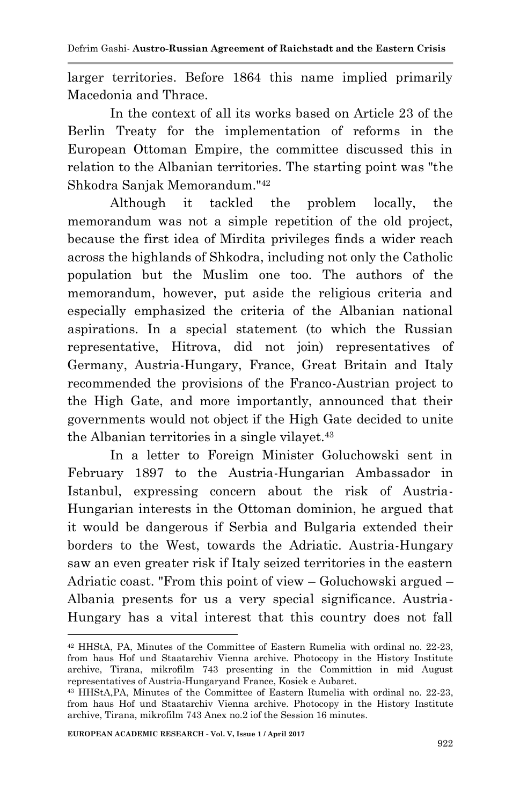larger territories. Before 1864 this name implied primarily Macedonia and Thrace.

In the context of all its works based on Article 23 of the Berlin Treaty for the implementation of reforms in the European Ottoman Empire, the committee discussed this in relation to the Albanian territories. The starting point was "the Shkodra Sanjak Memorandum."<sup>42</sup>

Although it tackled the problem locally, the memorandum was not a simple repetition of the old project, because the first idea of Mirdita privileges finds a wider reach across the highlands of Shkodra, including not only the Catholic population but the Muslim one too. The authors of the memorandum, however, put aside the religious criteria and especially emphasized the criteria of the Albanian national aspirations. In a special statement (to which the Russian representative, Hitrova, did not join) representatives of Germany, Austria-Hungary, France, Great Britain and Italy recommended the provisions of the Franco-Austrian project to the High Gate, and more importantly, announced that their governments would not object if the High Gate decided to unite the Albanian territories in a single vilayet.<sup>43</sup>

In a letter to Foreign Minister Goluchowski sent in February 1897 to the Austria-Hungarian Ambassador in Istanbul, expressing concern about the risk of Austria-Hungarian interests in the Ottoman dominion, he argued that it would be dangerous if Serbia and Bulgaria extended their borders to the West, towards the Adriatic. Austria-Hungary saw an even greater risk if Italy seized territories in the eastern Adriatic coast. "From this point of view – Goluchowski argued – Albania presents for us a very special significance. Austria-Hungary has a vital interest that this country does not fall

<sup>1</sup> <sup>42</sup> HHStA, PA, Minutes of the Committee of Eastern Rumelia with ordinal no. 22-23, from haus Hof und Staatarchiv Vienna archive. Photocopy in the History Institute archive, Tirana, mikrofilm 743 presenting in the Committion in mid August representatives of Austria-Hungaryand France, Kosiek e Aubaret.

<sup>43</sup> HHStA,PA, Minutes of the Committee of Eastern Rumelia with ordinal no. 22-23, from haus Hof und Staatarchiv Vienna archive. Photocopy in the History Institute archive, Tirana, mikrofilm 743 Anex no.2 iof the Session 16 minutes.